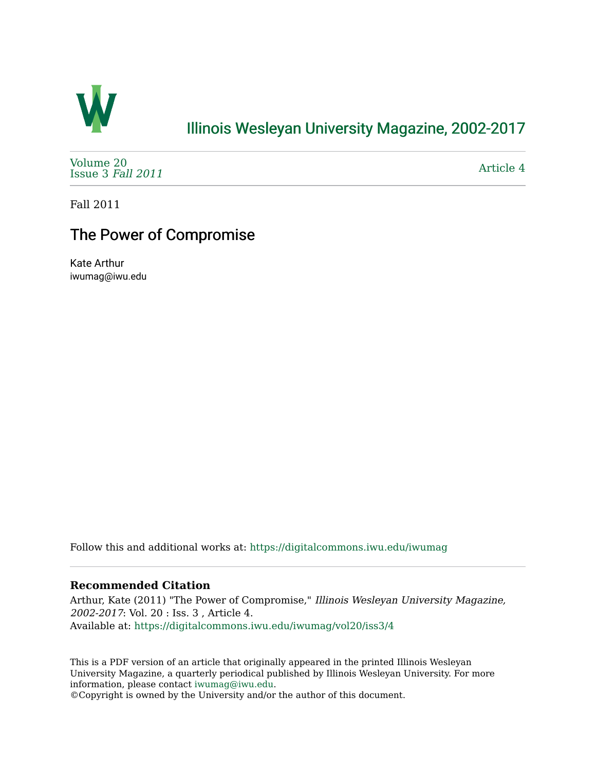

### [Illinois Wesleyan University Magazine, 2002-2017](https://digitalcommons.iwu.edu/iwumag)

[Volume 20](https://digitalcommons.iwu.edu/iwumag/vol20)  [Issue 3](https://digitalcommons.iwu.edu/iwumag/vol20/iss3) Fall 2011

[Article 4](https://digitalcommons.iwu.edu/iwumag/vol20/iss3/4) 

Fall 2011

## The Power of Compromise

Kate Arthur iwumag@iwu.edu

Follow this and additional works at: [https://digitalcommons.iwu.edu/iwumag](https://digitalcommons.iwu.edu/iwumag?utm_source=digitalcommons.iwu.edu%2Fiwumag%2Fvol20%2Fiss3%2F4&utm_medium=PDF&utm_campaign=PDFCoverPages) 

#### **Recommended Citation**

Arthur, Kate (2011) "The Power of Compromise," Illinois Wesleyan University Magazine, 2002-2017: Vol. 20 : Iss. 3 , Article 4. Available at: [https://digitalcommons.iwu.edu/iwumag/vol20/iss3/4](https://digitalcommons.iwu.edu/iwumag/vol20/iss3/4?utm_source=digitalcommons.iwu.edu%2Fiwumag%2Fvol20%2Fiss3%2F4&utm_medium=PDF&utm_campaign=PDFCoverPages)

This is a PDF version of an article that originally appeared in the printed Illinois Wesleyan University Magazine, a quarterly periodical published by Illinois Wesleyan University. For more information, please contact [iwumag@iwu.edu](mailto:iwumag@iwu.edu).

©Copyright is owned by the University and/or the author of this document.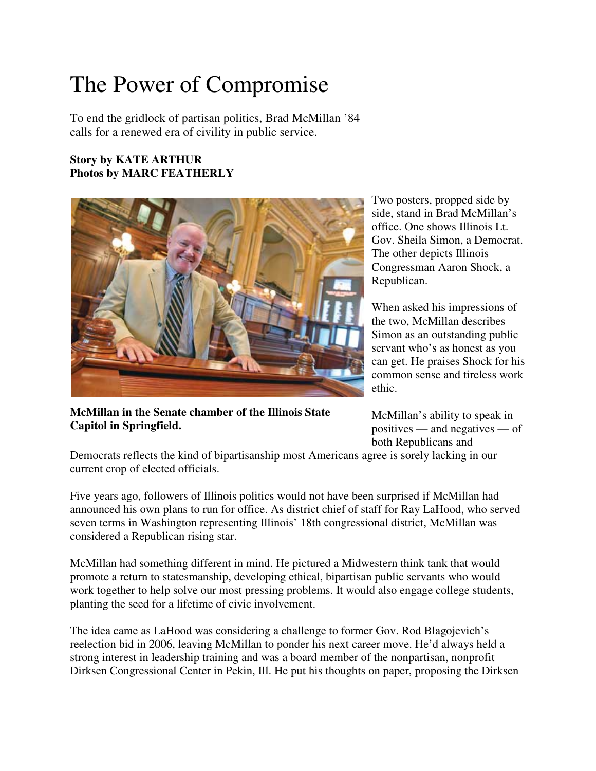# The Power of Compromise

To end the gridlock of partisan politics, Brad McMillan '84 calls for a renewed era of civility in public service.

#### **Story by KATE ARTHUR Photos by MARC FEATHERLY**



**McMillan in the Senate chamber of the Illinois State Capitol in Springfield.**

Two posters, propped side by side, stand in Brad McMillan's office. One shows Illinois Lt. Gov. Sheila Simon, a Democrat. The other depicts Illinois Congressman Aaron Shock, a Republican.

When asked his impressions of the two, McMillan describes Simon as an outstanding public servant who's as honest as you can get. He praises Shock for his common sense and tireless work ethic.

McMillan's ability to speak in positives — and negatives — of both Republicans and

Democrats reflects the kind of bipartisanship most Americans agree is sorely lacking in our current crop of elected officials.

Five years ago, followers of Illinois politics would not have been surprised if McMillan had announced his own plans to run for office. As district chief of staff for Ray LaHood, who served seven terms in Washington representing Illinois' 18th congressional district, McMillan was considered a Republican rising star.

McMillan had something different in mind. He pictured a Midwestern think tank that would promote a return to statesmanship, developing ethical, bipartisan public servants who would work together to help solve our most pressing problems. It would also engage college students, planting the seed for a lifetime of civic involvement.

The idea came as LaHood was considering a challenge to former Gov. Rod Blagojevich's reelection bid in 2006, leaving McMillan to ponder his next career move. He'd always held a strong interest in leadership training and was a board member of the nonpartisan, nonprofit Dirksen Congressional Center in Pekin, Ill. He put his thoughts on paper, proposing the Dirksen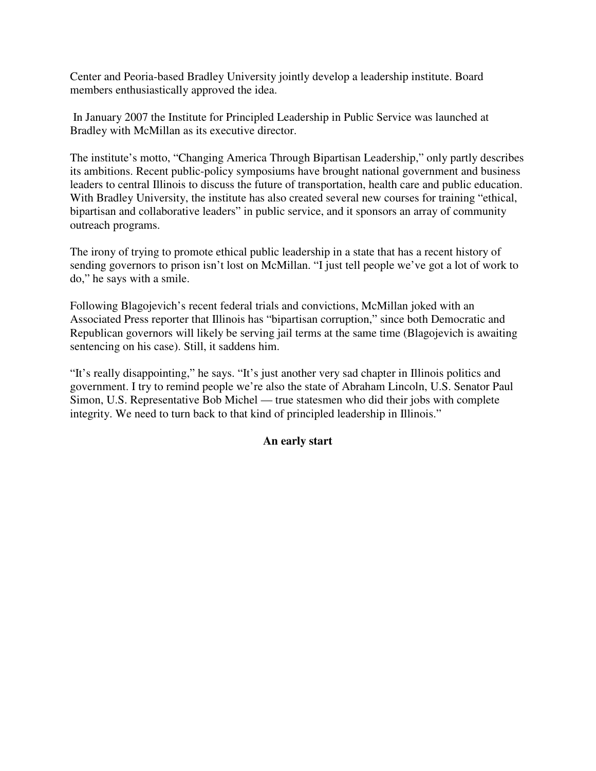Center and Peoria-based Bradley University jointly develop a leadership institute. Board members enthusiastically approved the idea.

 In January 2007 the Institute for Principled Leadership in Public Service was launched at Bradley with McMillan as its executive director.

The institute's motto, "Changing America Through Bipartisan Leadership," only partly describes its ambitions. Recent public-policy symposiums have brought national government and business leaders to central Illinois to discuss the future of transportation, health care and public education. With Bradley University, the institute has also created several new courses for training "ethical, bipartisan and collaborative leaders" in public service, and it sponsors an array of community outreach programs.

The irony of trying to promote ethical public leadership in a state that has a recent history of sending governors to prison isn't lost on McMillan. "I just tell people we've got a lot of work to do," he says with a smile.

Following Blagojevich's recent federal trials and convictions, McMillan joked with an Associated Press reporter that Illinois has "bipartisan corruption," since both Democratic and Republican governors will likely be serving jail terms at the same time (Blagojevich is awaiting sentencing on his case). Still, it saddens him.

"It's really disappointing," he says. "It's just another very sad chapter in Illinois politics and government. I try to remind people we're also the state of Abraham Lincoln, U.S. Senator Paul Simon, U.S. Representative Bob Michel — true statesmen who did their jobs with complete integrity. We need to turn back to that kind of principled leadership in Illinois."

#### **An early start**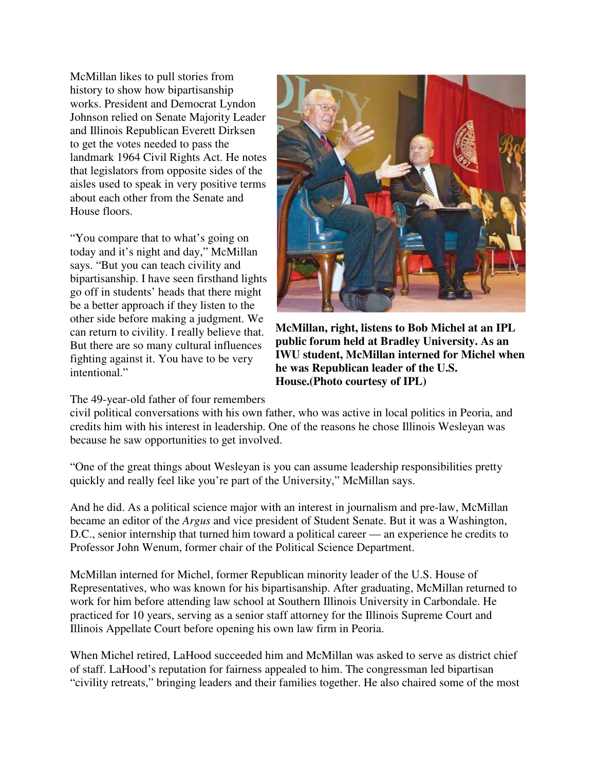McMillan likes to pull stories from history to show how bipartisanship works. President and Democrat Lyndon Johnson relied on Senate Majority Leader and Illinois Republican Everett Dirksen to get the votes needed to pass the landmark 1964 Civil Rights Act. He notes that legislators from opposite sides of the aisles used to speak in very positive terms about each other from the Senate and House floors.

"You compare that to what's going on today and it's night and day," McMillan says. "But you can teach civility and bipartisanship. I have seen firsthand lights go off in students' heads that there might be a better approach if they listen to the other side before making a judgment. We can return to civility. I really believe that. But there are so many cultural influences fighting against it. You have to be very intentional."

#### The 49-year-old father of four remembers



**McMillan, right, listens to Bob Michel at an IPL public forum held at Bradley University. As an IWU student, McMillan interned for Michel when he was Republican leader of the U.S. House.(Photo courtesy of IPL)**

civil political conversations with his own father, who was active in local politics in Peoria, and credits him with his interest in leadership. One of the reasons he chose Illinois Wesleyan was because he saw opportunities to get involved.

"One of the great things about Wesleyan is you can assume leadership responsibilities pretty quickly and really feel like you're part of the University," McMillan says.

And he did. As a political science major with an interest in journalism and pre-law, McMillan became an editor of the *Argus* and vice president of Student Senate. But it was a Washington, D.C., senior internship that turned him toward a political career — an experience he credits to Professor John Wenum, former chair of the Political Science Department.

McMillan interned for Michel, former Republican minority leader of the U.S. House of Representatives, who was known for his bipartisanship. After graduating, McMillan returned to work for him before attending law school at Southern Illinois University in Carbondale. He practiced for 10 years, serving as a senior staff attorney for the Illinois Supreme Court and Illinois Appellate Court before opening his own law firm in Peoria.

When Michel retired, LaHood succeeded him and McMillan was asked to serve as district chief of staff. LaHood's reputation for fairness appealed to him. The congressman led bipartisan "civility retreats," bringing leaders and their families together. He also chaired some of the most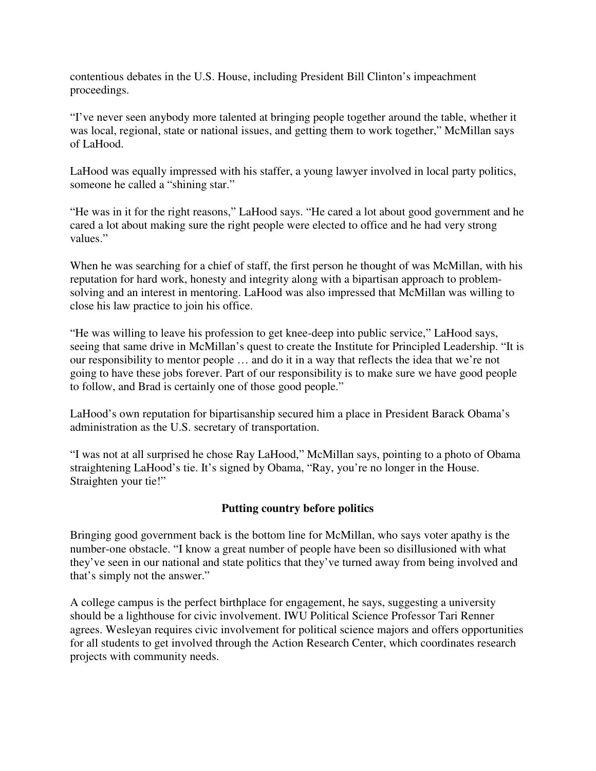contentious debates in the U.S. House, including President Bill Clinton's impeachment proceedings.

"I've never seen anybody more talented at bringing people together around the table, whether it was local, regional, state or national issues, and getting them to work together," McMillan says of LaHood.

LaHood was equally impressed with his staffer, a young lawyer involved in local party politics, someone he called a "shining star."

"He was in it for the right reasons," LaHood says. "He cared a lot about good government and he cared a lot about making sure the right people were elected to office and he had very strong values."

When he was searching for a chief of staff, the first person he thought of was McMillan, with his reputation for hard work, honesty and integrity along with a bipartisan approach to problemsolving and an interest in mentoring. LaHood was also impressed that McMillan was willing to close his law practice to join his office.

"He was willing to leave his profession to get knee-deep into public service," LaHood says, seeing that same drive in McMillan's quest to create the Institute for Principled Leadership. "It is our responsibility to mentor people … and do it in a way that reflects the idea that we're not going to have these jobs forever. Part of our responsibility is to make sure we have good people to follow, and Brad is certainly one of those good people."

LaHood's own reputation for bipartisanship secured him a place in President Barack Obama's administration as the U.S. secretary of transportation.

"I was not at all surprised he chose Ray LaHood," McMillan says, pointing to a photo of Obama straightening LaHood's tie. It's signed by Obama, "Ray, you're no longer in the House. Straighten your tie!"

#### **Putting country before politics**

Bringing good government back is the bottom line for McMillan, who says voter apathy is the number-one obstacle. "I know a great number of people have been so disillusioned with what they've seen in our national and state politics that they've turned away from being involved and that's simply not the answer."

A college campus is the perfect birthplace for engagement, he says, suggesting a university should be a lighthouse for civic involvement. IWU Political Science Professor Tari Renner agrees. Wesleyan requires civic involvement for political science majors and offers opportunities for all students to get involved through the Action Research Center, which coordinates research projects with community needs.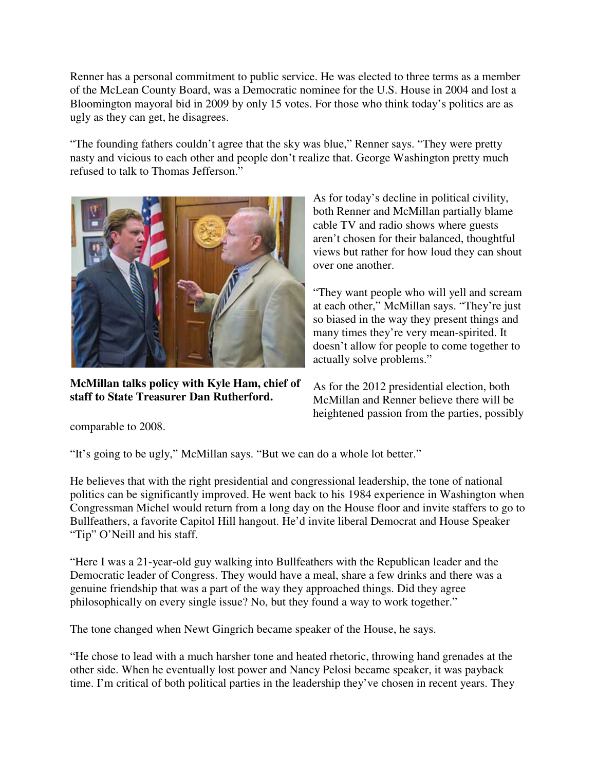Renner has a personal commitment to public service. He was elected to three terms as a member of the McLean County Board, was a Democratic nominee for the U.S. House in 2004 and lost a Bloomington mayoral bid in 2009 by only 15 votes. For those who think today's politics are as ugly as they can get, he disagrees.

"The founding fathers couldn't agree that the sky was blue," Renner says. "They were pretty nasty and vicious to each other and people don't realize that. George Washington pretty much refused to talk to Thomas Jefferson."



**McMillan talks policy with Kyle Ham, chief of staff to State Treasurer Dan Rutherford.**

As for today's decline in political civility, both Renner and McMillan partially blame cable TV and radio shows where guests aren't chosen for their balanced, thoughtful views but rather for how loud they can shout over one another.

"They want people who will yell and scream at each other," McMillan says. "They're just so biased in the way they present things and many times they're very mean-spirited. It doesn't allow for people to come together to actually solve problems."

As for the 2012 presidential election, both McMillan and Renner believe there will be heightened passion from the parties, possibly

comparable to 2008.

"It's going to be ugly," McMillan says. "But we can do a whole lot better."

He believes that with the right presidential and congressional leadership, the tone of national politics can be significantly improved. He went back to his 1984 experience in Washington when Congressman Michel would return from a long day on the House floor and invite staffers to go to Bullfeathers, a favorite Capitol Hill hangout. He'd invite liberal Democrat and House Speaker "Tip" O'Neill and his staff.

"Here I was a 21-year-old guy walking into Bullfeathers with the Republican leader and the Democratic leader of Congress. They would have a meal, share a few drinks and there was a genuine friendship that was a part of the way they approached things. Did they agree philosophically on every single issue? No, but they found a way to work together."

The tone changed when Newt Gingrich became speaker of the House, he says.

"He chose to lead with a much harsher tone and heated rhetoric, throwing hand grenades at the other side. When he eventually lost power and Nancy Pelosi became speaker, it was payback time. I'm critical of both political parties in the leadership they've chosen in recent years. They